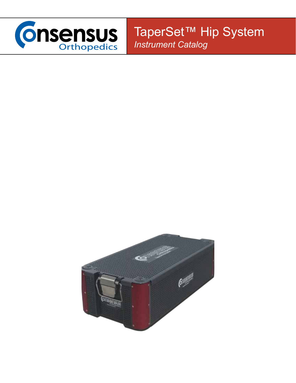

TaperSet™ Hip System *Instrument Catalog*

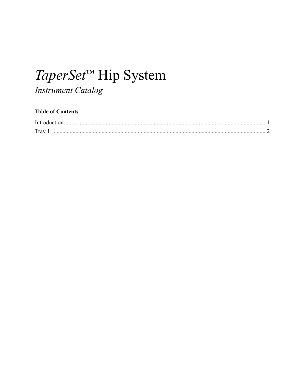# TaperSet<sup>™</sup> Hip System

#### **Instrument Catalog**

#### **Table of Contents**

| Trav |  |
|------|--|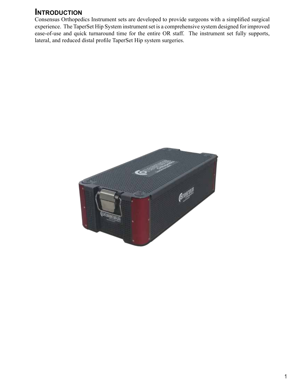#### **Introduction**

Consensus Orthopedics Instrument sets are developed to provide surgeons with a simplified surgical experience. The TaperSet Hip System instrument set is a comprehensive system designed for improved ease-of-use and quick turnaround time for the entire OR staff. The instrument set fully supports, lateral, and reduced distal profile TaperSet Hip system surgeries.

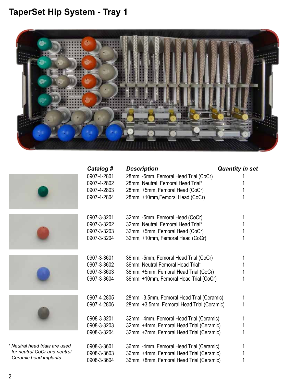

|                                | Catalog #   | <b>Description</b>                         | <b>Quantity in set</b> |
|--------------------------------|-------------|--------------------------------------------|------------------------|
|                                | 0907-4-2801 | 28mm, -5mm, Femoral Head Trial (CoCr)      |                        |
|                                | 0907-4-2802 | 28mm, Neutral, Femoral Head Trial*         |                        |
|                                | 0907-4-2803 | 28mm, +5mm, Femoral Head (CoCr)            |                        |
|                                | 0907-4-2804 | 28mm, +10mm, Femoral Head (CoCr)           |                        |
|                                | 0907-3-3201 | 32mm, -5mm, Femoral Head (CoCr)            |                        |
|                                | 0907-3-3202 | 32mm, Neutral, Femoral Head Trial*         |                        |
|                                | 0907-3-3203 | 32mm, +5mm, Femoral Head (CoCr)            |                        |
|                                | 0907-3-3204 | 32mm, +10mm, Femoral Head (CoCr)           |                        |
|                                | 0907-3-3601 | 36mm, -5mm, Femoral Head Trial (CoCr)      |                        |
|                                | 0907-3-3602 | 36mm, Neutral Femoral Head Trial*          |                        |
|                                | 0907-3-3603 | 36mm, +5mm, Femoral Head Trial (CoCr)      |                        |
|                                | 0907-3-3604 | 36mm, +10mm, Femoral Head Trial (CoCr)     |                        |
|                                | 0907-4-2805 | 28mm, -3.5mm, Femoral Head Trial (Ceramic) |                        |
|                                | 0907-4-2806 | 28mm, +3.5mm, Femoral Head Trial (Ceramic) |                        |
|                                | 0908-3-3201 | 32mm, -4mm, Femoral Head Trial (Ceramic)   |                        |
|                                | 0908-3-3203 | 32mm, +4mm, Femoral Head Trial (Ceramic)   |                        |
|                                | 0908-3-3204 | 32mm, +7mm, Femoral Head Trial (Ceramic)   |                        |
| * Neutral head trials are used | 0908-3-3601 | 36mm, -4mm, Femoral Head Trial (Ceramic)   |                        |
| for neutral CoCr and neutral   | 0908-3-3603 | 36mm, +4mm, Femoral Head Trial (Ceramic)   |                        |
| Ceramic head implants          | 0908-3-3604 | 36mm, +8mm, Femoral Head Trial (Ceramic)   |                        |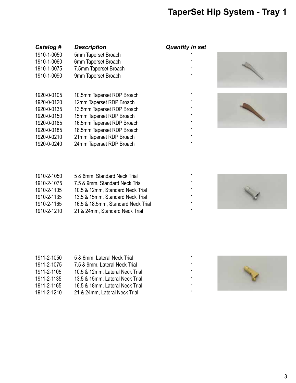| Catalog #   | Description                | Quantity I |
|-------------|----------------------------|------------|
| 1910-1-0050 | 5mm Taperset Broach        |            |
| 1910-1-0060 | 6mm Taperset Broach        | 1          |
| 1910-1-0075 | 7.5mm Taperset Broach      | 1          |
| 1910-1-0090 | 9mm Taperset Broach        | 1          |
|             |                            |            |
| 1920-0-0105 | 10.5mm Taperset RDP Broach | 1          |
| 1920-0-0120 | 12mm Taperset RDP Broach   | 1          |
| 1920-0-0135 | 13.5mm Taperset RDP Broach | 1          |
| 1920-0-0150 | 15mm Taperset RDP Broach   | 1          |
| 1920-0-0165 | 16.5mm Taperset RDP Broach | 1          |
| 1920-0-0185 | 18.5mm Taperset RDP Broach | 1          |
| 1920-0-0210 | 21mm Taperset RDP Broach   | 1          |
| 1920-0-0240 | 24mm Taperset RDP Broach   | 1          |
|             |                            |            |

| 1910-2-1075<br>7.5 & 9mm, Standard Neck Trial<br>1910-2-1105<br>10.5 & 12mm, Standard Neck Trial<br>1910-2-1135<br>13.5 & 15mm, Standard Neck Trial<br>1910-2-1165<br>16.5 & 18.5mm, Standard Neck Trial |
|----------------------------------------------------------------------------------------------------------------------------------------------------------------------------------------------------------|
|                                                                                                                                                                                                          |
|                                                                                                                                                                                                          |
|                                                                                                                                                                                                          |
|                                                                                                                                                                                                          |
| 1910-2-1210<br>21 & 24mm, Standard Neck Trial                                                                                                                                                            |
|                                                                                                                                                                                                          |

| 1911-2-1050 | 5 & 6mm, Lateral Neck Trial     |   |
|-------------|---------------------------------|---|
| 1911-2-1075 | 7.5 & 9mm, Lateral Neck Trial   |   |
| 1911-2-1105 | 10.5 & 12mm, Lateral Neck Trial | 1 |
| 1911-2-1135 | 13.5 & 15mm, Lateral Neck Trial | 1 |
| 1911-2-1165 | 16.5 & 18mm, Lateral Neck Trial |   |
| 1911-2-1210 | 21 & 24mm, Lateral Neck Trial   |   |

#### *Catalog # Description Quantity in set*

| 1      |  |
|--------|--|
| 1      |  |
| 1      |  |
| 1      |  |
|        |  |
|        |  |
| 1      |  |
| 1      |  |
| 1      |  |
| 1      |  |
|        |  |
| 1<br>1 |  |







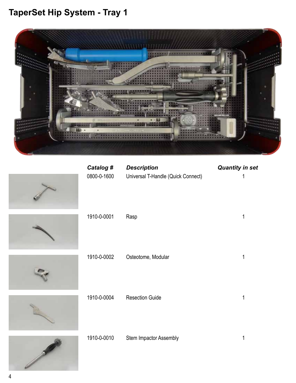

| Catalog #<br>0800-0-1600 | <b>Description</b><br>Universal T-Handle (Quick Connect) | <b>Quantity in set</b><br>1 |
|--------------------------|----------------------------------------------------------|-----------------------------|
| 1910-0-0001              | Rasp                                                     | 1                           |
| 1910-0-0002              | Osteotome, Modular                                       | 1                           |
| 1910-0-0004              | <b>Resection Guide</b>                                   | 1                           |
| 1910-0-0010              | Stem Impactor Assembly                                   | 1                           |

H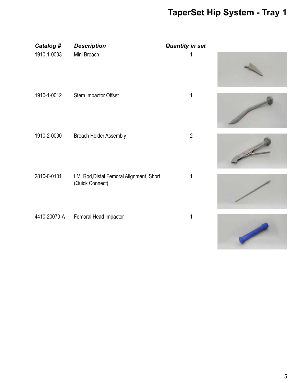| Catalog #    | <b>Description</b>                                           | <b>Quantity in set</b> |  |
|--------------|--------------------------------------------------------------|------------------------|--|
| 1910-1-0003  | Mini Broach                                                  |                        |  |
| 1910-1-0012  | Stem Impactor Offset                                         | 1                      |  |
| 1910-2-0000  | <b>Broach Holder Assembly</b>                                | $\overline{2}$         |  |
| 2810-0-0101  | I.M. Rod, Distal Femoral Alignment, Short<br>(Quick Connect) |                        |  |
| 4410-20070-A | Femoral Head Impactor                                        | 1                      |  |